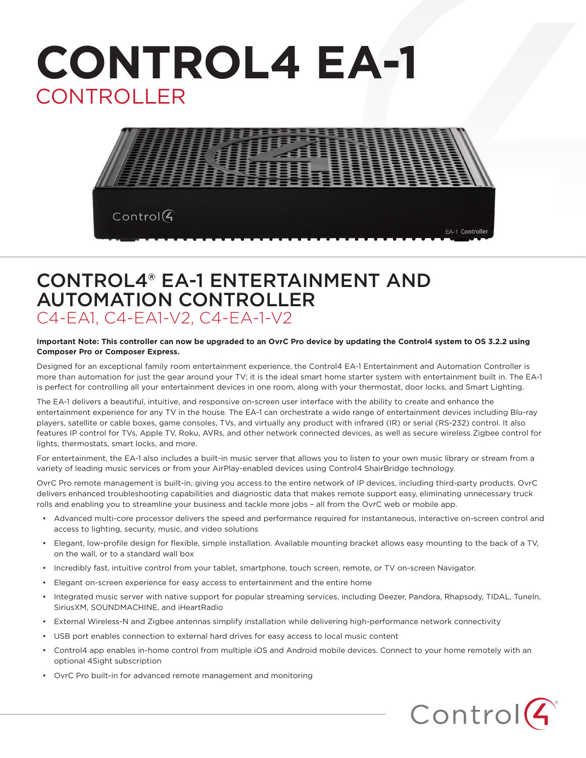# **CONTROL4 EA-1** CONTROLLER



### CONTROL4® EA-1 ENTERTAINMENT AND AUTOMATION CONTROLLER C4-EA1, C4-EA1-V2, C4-EA-1-V2

#### **Important Note: This controller can now be upgraded to an OvrC Pro device by updating the Control4 system to OS 3.2.2 using Composer Pro or Composer Express.**

Designed for an exceptional family room entertainment experience, the Control4 EA-1 Entertainment and Automation Controller is more than automation for just the gear around your TV; it is the ideal smart home starter system with entertainment built in. The EA-1 is perfect for controlling all your entertainment devices in one room, along with your thermostat, door locks, and Smart Lighting.

The EA-1 delivers a beautiful, intuitive, and responsive on-screen user interface with the ability to create and enhance the entertainment experience for any TV in the house. The EA-1 can orchestrate a wide range of entertainment devices including Blu-ray players, satellite or cable boxes, game consoles, TVs, and virtually any product with infrared (IR) or serial (RS-232) control. It also features IP control for TVs, Apple TV, Roku, AVRs, and other network connected devices, as well as secure wireless Zigbee control for lights, thermostats, smart locks, and more.

For entertainment, the EA-1 also includes a built-in music server that allows you to listen to your own music library or stream from a variety of leading music services or from your AirPlay-enabled devices using Control4 ShairBridge technology.

OvrC Pro remote management is built-in, giving you access to the entire network of IP devices, including third-party products. OvrC delivers enhanced troubleshooting capabilities and diagnostic data that makes remote support easy, eliminating unnecessary truck rolls and enabling you to streamline your business and tackle more jobs – all from the OvrC web or mobile app.

- Advanced multi-core processor delivers the speed and performance required for instantaneous, interactive on-screen control and access to lighting, security, music, and video solutions
- Elegant, low-profile design for flexible, simple installation. Available mounting bracket allows easy mounting to the back of a TV, on the wall, or to a standard wall box
- Incredibly fast, intuitive control from your tablet, smartphone, touch screen, remote, or TV on-screen Navigator.
- Elegant on-screen experience for easy access to entertainment and the entire home
- Integrated music server with native support for popular streaming services, including Deezer, Pandora, Rhapsody, TIDAL, TuneIn, SiriusXM, SOUNDMACHINE, and iHeartRadio
- External Wireless-N and Zigbee antennas simplify installation while delivering high-performance network connectivity
- USB port enables connection to external hard drives for easy access to local music content
- Control4 app enables in-home control from multiple iOS and Android mobile devices. Connect to your home remotely with an optional 4Sight subscription
- OvrC Pro built-in for advanced remote management and monitoring